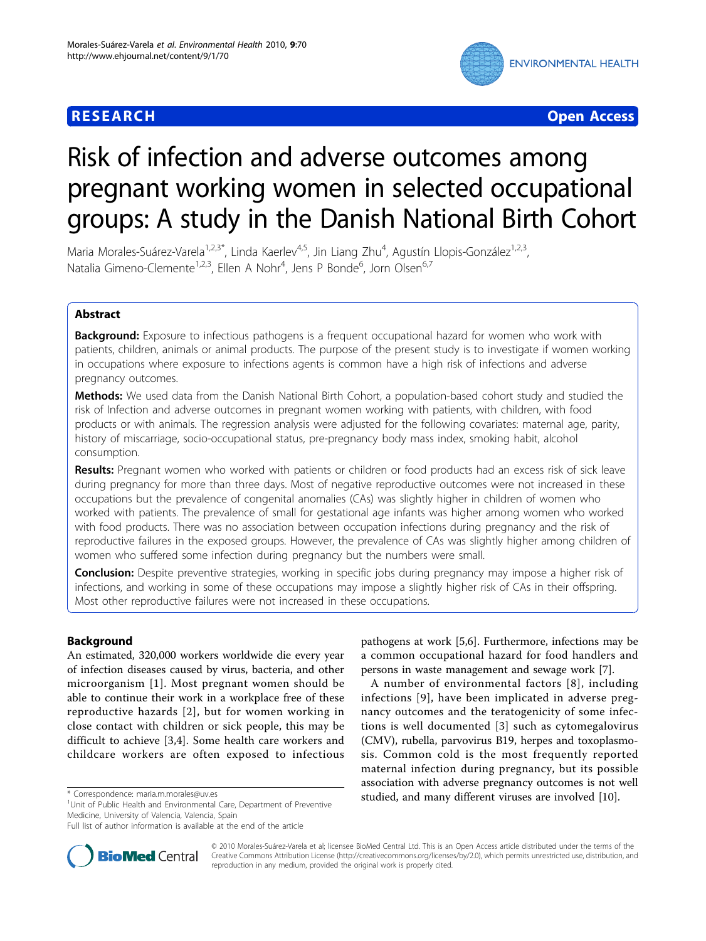

**RESEARCH CONSTRUCTION CONSTRUCTS** 

# Risk of infection and adverse outcomes among pregnant working women in selected occupational groups: A study in the Danish National Birth Cohort

Maria Morales-Suárez-Varela<sup>1,2,3\*</sup>, Linda Kaerlev<sup>4,5</sup>, Jin Liang Zhu<sup>4</sup>, Agustín Llopis-González<sup>1,2,3</sup>, Natalia Gimeno-Clemente<sup>1,2,3</sup>, Ellen A Nohr<sup>4</sup>, Jens P Bonde<sup>6</sup>, Jorn Olsen<sup>6,7</sup>

# Abstract

**Background:** Exposure to infectious pathogens is a frequent occupational hazard for women who work with patients, children, animals or animal products. The purpose of the present study is to investigate if women working in occupations where exposure to infections agents is common have a high risk of infections and adverse pregnancy outcomes.

Methods: We used data from the Danish National Birth Cohort, a population-based cohort study and studied the risk of Infection and adverse outcomes in pregnant women working with patients, with children, with food products or with animals. The regression analysis were adjusted for the following covariates: maternal age, parity, history of miscarriage, socio-occupational status, pre-pregnancy body mass index, smoking habit, alcohol consumption.

Results: Pregnant women who worked with patients or children or food products had an excess risk of sick leave during pregnancy for more than three days. Most of negative reproductive outcomes were not increased in these occupations but the prevalence of congenital anomalies (CAs) was slightly higher in children of women who worked with patients. The prevalence of small for gestational age infants was higher among women who worked with food products. There was no association between occupation infections during pregnancy and the risk of reproductive failures in the exposed groups. However, the prevalence of CAs was slightly higher among children of women who suffered some infection during pregnancy but the numbers were small.

Conclusion: Despite preventive strategies, working in specific jobs during pregnancy may impose a higher risk of infections, and working in some of these occupations may impose a slightly higher risk of CAs in their offspring. Most other reproductive failures were not increased in these occupations.

# Background

An estimated, 320,000 workers worldwide die every year of infection diseases caused by virus, bacteria, and other microorganism [[1\]](#page-9-0). Most pregnant women should be able to continue their work in a workplace free of these reproductive hazards [[2\]](#page-9-0), but for women working in close contact with children or sick people, this may be difficult to achieve [[3,4\]](#page-9-0). Some health care workers and childcare workers are often exposed to infectious

<sup>1</sup>Unit of Public Health and Environmental Care, Department of Preventive Medicine, University of Valencia, Valencia, Spain

pathogens at work [[5](#page-9-0),[6\]](#page-9-0). Furthermore, infections may be a common occupational hazard for food handlers and persons in waste management and sewage work [\[7](#page-9-0)].

A number of environmental factors [[8\]](#page-9-0), including infections [[9](#page-9-0)], have been implicated in adverse pregnancy outcomes and the teratogenicity of some infections is well documented [[3](#page-9-0)] such as cytomegalovirus (CMV), rubella, parvovirus B19, herpes and toxoplasmosis. Common cold is the most frequently reported maternal infection during pregnancy, but its possible association with adverse pregnancy outcomes is not well \* Correspondence: maria.m.morales@uv.es extendion and many different viruses are involved [\[10\]](#page-9-0).



© 2010 Morales-Suárez-Varela et al; licensee BioMed Central Ltd. This is an Open Access article distributed under the terms of the Creative Commons Attribution License (<http://creativecommons.org/licenses/by/2.0>), which permits unrestricted use, distribution, and reproduction in any medium, provided the original work is properly cited.

Full list of author information is available at the end of the article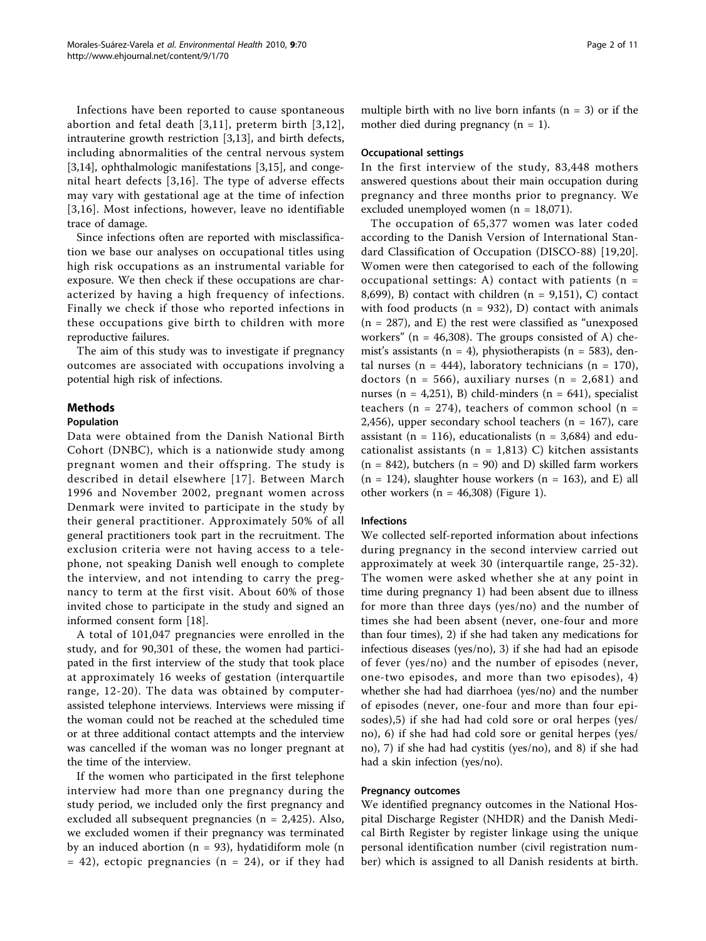Infections have been reported to cause spontaneous abortion and fetal death [[3,11\]](#page-9-0), preterm birth [[3,12\]](#page-9-0), intrauterine growth restriction [\[3](#page-9-0),[13\]](#page-9-0), and birth defects, including abnormalities of the central nervous system [[3,14\]](#page-9-0), ophthalmologic manifestations [[3,15\]](#page-9-0), and congenital heart defects [[3,16\]](#page-9-0). The type of adverse effects may vary with gestational age at the time of infection [[3](#page-9-0),[16\]](#page-9-0). Most infections, however, leave no identifiable trace of damage.

Since infections often are reported with misclassification we base our analyses on occupational titles using high risk occupations as an instrumental variable for exposure. We then check if these occupations are characterized by having a high frequency of infections. Finally we check if those who reported infections in these occupations give birth to children with more reproductive failures.

The aim of this study was to investigate if pregnancy outcomes are associated with occupations involving a potential high risk of infections.

# Methods

#### Population

Data were obtained from the Danish National Birth Cohort (DNBC), which is a nationwide study among pregnant women and their offspring. The study is described in detail elsewhere [[17](#page-9-0)]. Between March 1996 and November 2002, pregnant women across Denmark were invited to participate in the study by their general practitioner. Approximately 50% of all general practitioners took part in the recruitment. The exclusion criteria were not having access to a telephone, not speaking Danish well enough to complete the interview, and not intending to carry the pregnancy to term at the first visit. About 60% of those invited chose to participate in the study and signed an informed consent form [\[18](#page-9-0)].

A total of 101,047 pregnancies were enrolled in the study, and for 90,301 of these, the women had participated in the first interview of the study that took place at approximately 16 weeks of gestation (interquartile range, 12-20). The data was obtained by computerassisted telephone interviews. Interviews were missing if the woman could not be reached at the scheduled time or at three additional contact attempts and the interview was cancelled if the woman was no longer pregnant at the time of the interview.

If the women who participated in the first telephone interview had more than one pregnancy during the study period, we included only the first pregnancy and excluded all subsequent pregnancies (n = 2,425). Also, we excluded women if their pregnancy was terminated by an induced abortion ( $n = 93$ ), hydatidiform mole (n  $= 42$ ), ectopic pregnancies (n  $= 24$ ), or if they had multiple birth with no live born infants  $(n = 3)$  or if the mother died during pregnancy  $(n = 1)$ .

### Occupational settings

In the first interview of the study, 83,448 mothers answered questions about their main occupation during pregnancy and three months prior to pregnancy. We excluded unemployed women (n = 18,071).

The occupation of 65,377 women was later coded according to the Danish Version of International Standard Classification of Occupation (DISCO-88) [\[19,20](#page-9-0)]. Women were then categorised to each of the following occupational settings: A) contact with patients ( $n =$ 8,699), B) contact with children  $(n = 9,151)$ , C) contact with food products  $(n = 932)$ , D) contact with animals  $(n = 287)$ , and E) the rest were classified as "unexposed workers" ( $n = 46,308$ ). The groups consisted of A) chemist's assistants ( $n = 4$ ), physiotherapists ( $n = 583$ ), dental nurses (n = 444), laboratory technicians (n = 170), doctors ( $n = 566$ ), auxiliary nurses ( $n = 2,681$ ) and nurses (n = 4,251), B) child-minders (n = 641), specialist teachers ( $n = 274$ ), teachers of common school ( $n =$ 2,456), upper secondary school teachers ( $n = 167$ ), care assistant ( $n = 116$ ), educationalists ( $n = 3,684$ ) and educationalist assistants ( $n = 1,813$ ) C) kitchen assistants  $(n = 842)$ , butchers  $(n = 90)$  and D) skilled farm workers  $(n = 124)$ , slaughter house workers  $(n = 163)$ , and E) all other workers ( $n = 46,308$ ) (Figure [1\)](#page-2-0).

# Infections

We collected self-reported information about infections during pregnancy in the second interview carried out approximately at week 30 (interquartile range, 25-32). The women were asked whether she at any point in time during pregnancy 1) had been absent due to illness for more than three days (yes/no) and the number of times she had been absent (never, one-four and more than four times), 2) if she had taken any medications for infectious diseases (yes/no), 3) if she had had an episode of fever (yes/no) and the number of episodes (never, one-two episodes, and more than two episodes), 4) whether she had had diarrhoea (yes/no) and the number of episodes (never, one-four and more than four episodes),5) if she had had cold sore or oral herpes (yes/ no), 6) if she had had cold sore or genital herpes (yes/ no), 7) if she had had cystitis (yes/no), and 8) if she had had a skin infection (yes/no).

#### Pregnancy outcomes

We identified pregnancy outcomes in the National Hospital Discharge Register (NHDR) and the Danish Medical Birth Register by register linkage using the unique personal identification number (civil registration number) which is assigned to all Danish residents at birth.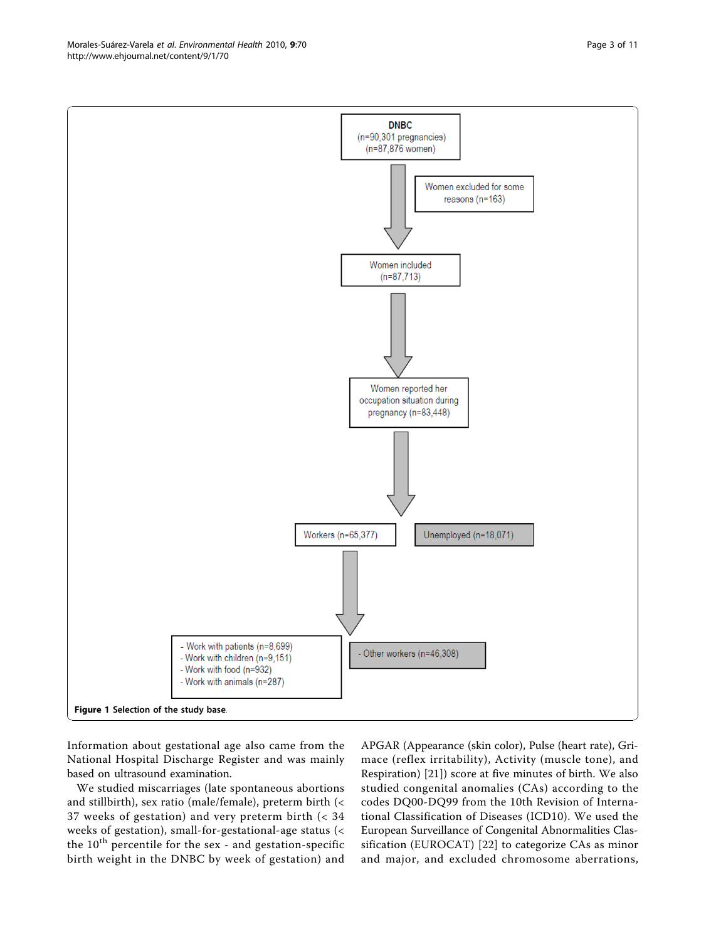Information about gestational age also came from the National Hospital Discharge Register and was mainly based on ultrasound examination.

We studied miscarriages (late spontaneous abortions and stillbirth), sex ratio (male/female), preterm birth (< 37 weeks of gestation) and very preterm birth (< 34 weeks of gestation), small-for-gestational-age status (< the  $10^{th}$  percentile for the sex - and gestation-specific birth weight in the DNBC by week of gestation) and APGAR (Appearance (skin color), Pulse (heart rate), Grimace (reflex irritability), Activity (muscle tone), and Respiration) [[21](#page-9-0)]) score at five minutes of birth. We also studied congenital anomalies (CAs) according to the codes DQ00-DQ99 from the 10th Revision of International Classification of Diseases (ICD10). We used the European Surveillance of Congenital Abnormalities Classification (EUROCAT) [[22](#page-9-0)] to categorize CAs as minor and major, and excluded chromosome aberrations,

<span id="page-2-0"></span>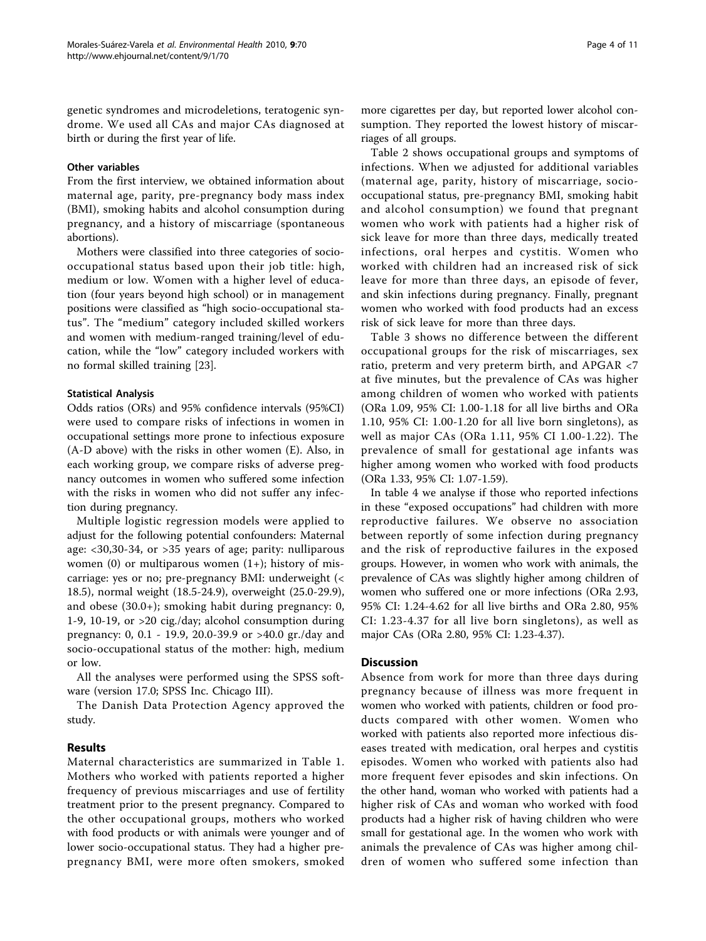genetic syndromes and microdeletions, teratogenic syndrome. We used all CAs and major CAs diagnosed at birth or during the first year of life.

# Other variables

From the first interview, we obtained information about maternal age, parity, pre-pregnancy body mass index (BMI), smoking habits and alcohol consumption during pregnancy, and a history of miscarriage (spontaneous abortions).

Mothers were classified into three categories of sociooccupational status based upon their job title: high, medium or low. Women with a higher level of education (four years beyond high school) or in management positions were classified as "high socio-occupational status". The "medium" category included skilled workers and women with medium-ranged training/level of education, while the "low" category included workers with no formal skilled training [[23](#page-9-0)].

# Statistical Analysis

Odds ratios (ORs) and 95% confidence intervals (95%CI) were used to compare risks of infections in women in occupational settings more prone to infectious exposure (A-D above) with the risks in other women (E). Also, in each working group, we compare risks of adverse pregnancy outcomes in women who suffered some infection with the risks in women who did not suffer any infection during pregnancy.

Multiple logistic regression models were applied to adjust for the following potential confounders: Maternal age: <30,30-34, or >35 years of age; parity: nulliparous women  $(0)$  or multiparous women  $(1+)$ ; history of miscarriage: yes or no; pre-pregnancy BMI: underweight (< 18.5), normal weight (18.5-24.9), overweight (25.0-29.9), and obese (30.0+); smoking habit during pregnancy: 0, 1-9, 10-19, or >20 cig./day; alcohol consumption during pregnancy: 0, 0.1 - 19.9, 20.0-39.9 or >40.0 gr./day and socio-occupational status of the mother: high, medium or low.

All the analyses were performed using the SPSS software (version 17.0; SPSS Inc. Chicago III).

The Danish Data Protection Agency approved the study.

# Results

Maternal characteristics are summarized in Table [1](#page-4-0). Mothers who worked with patients reported a higher frequency of previous miscarriages and use of fertility treatment prior to the present pregnancy. Compared to the other occupational groups, mothers who worked with food products or with animals were younger and of lower socio-occupational status. They had a higher prepregnancy BMI, were more often smokers, smoked more cigarettes per day, but reported lower alcohol consumption. They reported the lowest history of miscar-

riages of all groups. Table [2](#page-6-0) shows occupational groups and symptoms of infections. When we adjusted for additional variables (maternal age, parity, history of miscarriage, sociooccupational status, pre-pregnancy BMI, smoking habit and alcohol consumption) we found that pregnant women who work with patients had a higher risk of sick leave for more than three days, medically treated infections, oral herpes and cystitis. Women who worked with children had an increased risk of sick leave for more than three days, an episode of fever, and skin infections during pregnancy. Finally, pregnant women who worked with food products had an excess risk of sick leave for more than three days.

Table [3](#page-7-0) shows no difference between the different occupational groups for the risk of miscarriages, sex ratio, preterm and very preterm birth, and APGAR <7 at five minutes, but the prevalence of CAs was higher among children of women who worked with patients (ORa 1.09, 95% CI: 1.00-1.18 for all live births and ORa 1.10, 95% CI: 1.00-1.20 for all live born singletons), as well as major CAs (ORa 1.11, 95% CI 1.00-1.22). The prevalence of small for gestational age infants was higher among women who worked with food products (ORa 1.33, 95% CI: 1.07-1.59).

In table [4](#page-8-0) we analyse if those who reported infections in these "exposed occupations" had children with more reproductive failures. We observe no association between reportly of some infection during pregnancy and the risk of reproductive failures in the exposed groups. However, in women who work with animals, the prevalence of CAs was slightly higher among children of women who suffered one or more infections (ORa 2.93, 95% CI: 1.24-4.62 for all live births and ORa 2.80, 95% CI: 1.23-4.37 for all live born singletons), as well as major CAs (ORa 2.80, 95% CI: 1.23-4.37).

# **Discussion**

Absence from work for more than three days during pregnancy because of illness was more frequent in women who worked with patients, children or food products compared with other women. Women who worked with patients also reported more infectious diseases treated with medication, oral herpes and cystitis episodes. Women who worked with patients also had more frequent fever episodes and skin infections. On the other hand, woman who worked with patients had a higher risk of CAs and woman who worked with food products had a higher risk of having children who were small for gestational age. In the women who work with animals the prevalence of CAs was higher among children of women who suffered some infection than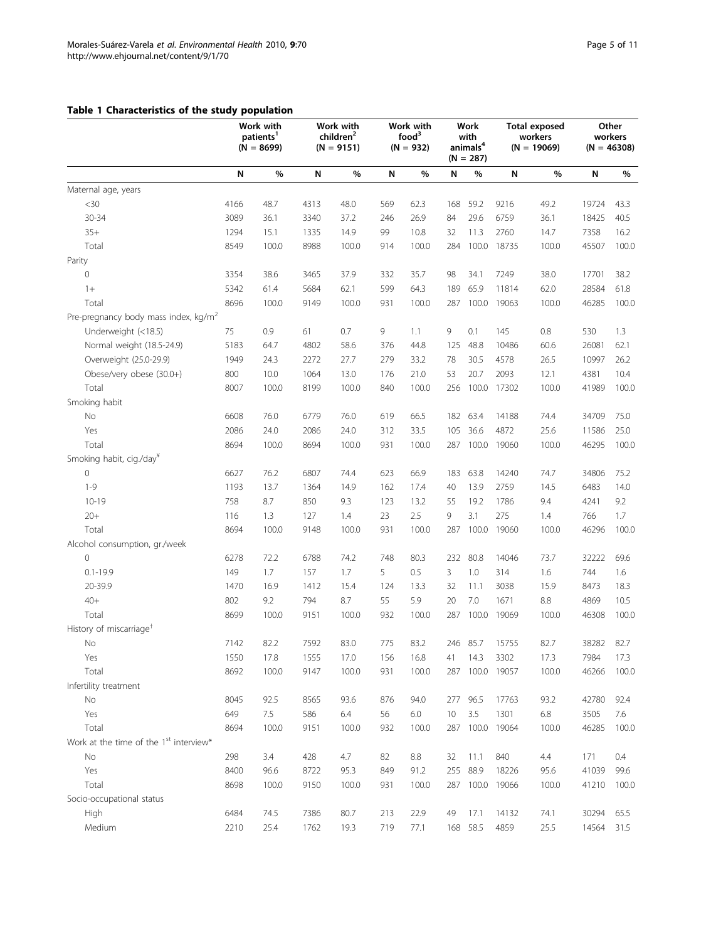# <span id="page-4-0"></span>Table 1 Characteristics of the study population

|                                                    |           | Work with<br>patients <sup>1</sup><br>$(N = 8699)$ |           | Work with<br>children <sup>2</sup><br>$(N = 9151)$ |     | Work with<br>food <sup>3</sup><br>$(N = 932)$ |                 | Work<br>with<br>animals <sup>4</sup><br>$(N = 287)$ |       | <b>Total exposed</b><br>workers<br>$(N = 19069)$ |       | Other<br>workers<br>$(N = 46308)$ |
|----------------------------------------------------|-----------|----------------------------------------------------|-----------|----------------------------------------------------|-----|-----------------------------------------------|-----------------|-----------------------------------------------------|-------|--------------------------------------------------|-------|-----------------------------------|
|                                                    | ${\sf N}$ | %                                                  | ${\sf N}$ | %                                                  | N   | %                                             | ${\sf N}$       | %                                                   | N     | %                                                | N     | %                                 |
| Maternal age, years                                |           |                                                    |           |                                                    |     |                                               |                 |                                                     |       |                                                  |       |                                   |
| $<$ 30                                             | 4166      | 48.7                                               | 4313      | 48.0                                               | 569 | 62.3                                          | 168             | 59.2                                                | 9216  | 49.2                                             | 19724 | 43.3                              |
| 30-34                                              | 3089      | 36.1                                               | 3340      | 37.2                                               | 246 | 26.9                                          | 84              | 29.6                                                | 6759  | 36.1                                             | 18425 | 40.5                              |
| $35+$                                              | 1294      | 15.1                                               | 1335      | 14.9                                               | 99  | 10.8                                          | 32              | 11.3                                                | 2760  | 14.7                                             | 7358  | 16.2                              |
| Total                                              | 8549      | 100.0                                              | 8988      | 100.0                                              | 914 | 100.0                                         | 284             | 100.0                                               | 18735 | 100.0                                            | 45507 | 100.0                             |
| Parity                                             |           |                                                    |           |                                                    |     |                                               |                 |                                                     |       |                                                  |       |                                   |
| 0                                                  | 3354      | 38.6                                               | 3465      | 37.9                                               | 332 | 35.7                                          | 98              | 34.1                                                | 7249  | 38.0                                             | 17701 | 38.2                              |
| $1+$                                               | 5342      | 61.4                                               | 5684      | 62.1                                               | 599 | 64.3                                          | 189             | 65.9                                                | 11814 | 62.0                                             | 28584 | 61.8                              |
| Total                                              | 8696      | 100.0                                              | 9149      | 100.0                                              | 931 | 100.0                                         | 287             | 100.0                                               | 19063 | 100.0                                            | 46285 | 100.0                             |
| Pre-pregnancy body mass index, kg/m <sup>2</sup>   |           |                                                    |           |                                                    |     |                                               |                 |                                                     |       |                                                  |       |                                   |
| Underweight (<18.5)                                | 75        | 0.9                                                | 61        | 0.7                                                | 9   | 1.1                                           | 9               | 0.1                                                 | 145   | 0.8                                              | 530   | 1.3                               |
| Normal weight (18.5-24.9)                          | 5183      | 64.7                                               | 4802      | 58.6                                               | 376 | 44.8                                          | 125             | 48.8                                                | 10486 | 60.6                                             | 26081 | 62.1                              |
| Overweight (25.0-29.9)                             | 1949      | 24.3                                               | 2272      | 27.7                                               | 279 | 33.2                                          | 78              | 30.5                                                | 4578  | 26.5                                             | 10997 | 26.2                              |
| Obese/very obese (30.0+)                           | 800       | 10.0                                               | 1064      | 13.0                                               | 176 | 21.0                                          | 53              | 20.7                                                | 2093  | 12.1                                             | 4381  | 10.4                              |
| Total                                              | 8007      | 100.0                                              | 8199      | 100.0                                              | 840 | 100.0                                         | 256             | 100.0                                               | 17302 | 100.0                                            | 41989 | 100.0                             |
| Smoking habit                                      |           |                                                    |           |                                                    |     |                                               |                 |                                                     |       |                                                  |       |                                   |
| No                                                 | 6608      | 76.0                                               | 6779      | 76.0                                               | 619 | 66.5                                          | 182             | 63.4                                                | 14188 | 74.4                                             | 34709 | 75.0                              |
| Yes                                                | 2086      | 24.0                                               | 2086      | 24.0                                               | 312 | 33.5                                          | 105             | 36.6                                                | 4872  | 25.6                                             | 11586 | 25.0                              |
| Total                                              | 8694      | 100.0                                              | 8694      | 100.0                                              | 931 | 100.0                                         | 287             | 100.0                                               | 19060 | 100.0                                            | 46295 | 100.0                             |
| Smoking habit, cig./day*                           |           |                                                    |           |                                                    |     |                                               |                 |                                                     |       |                                                  |       |                                   |
| $\overline{0}$                                     | 6627      | 76.2                                               | 6807      | 74.4                                               | 623 | 66.9                                          | 183             | 63.8                                                | 14240 | 74.7                                             | 34806 | 75.2                              |
| $1 - 9$                                            | 1193      | 13.7                                               | 1364      | 14.9                                               | 162 | 17.4                                          | 40              | 13.9                                                | 2759  | 14.5                                             | 6483  | 14.0                              |
| $10 - 19$                                          | 758       | 8.7                                                | 850       | 9.3                                                | 123 | 13.2                                          | 55              | 19.2                                                | 1786  | 9.4                                              | 4241  | 9.2                               |
| $20+$                                              | 116       | 1.3                                                | 127       | 1.4                                                | 23  | 2.5                                           | 9               | 3.1                                                 | 275   | 1.4                                              | 766   | 1.7                               |
| Total                                              | 8694      | 100.0                                              | 9148      | 100.0                                              | 931 | 100.0                                         | 287             | 100.0                                               | 19060 | 100.0                                            | 46296 | 100.0                             |
| Alcohol consumption, gr./week                      |           |                                                    |           |                                                    |     |                                               |                 |                                                     |       |                                                  |       |                                   |
| $\mathbf{0}$                                       | 6278      | 72.2                                               | 6788      | 74.2                                               | 748 | 80.3                                          | 232             | 80.8                                                | 14046 | 73.7                                             | 32222 | 69.6                              |
| $0.1 - 19.9$                                       | 149       | 1.7                                                | 157       | 1.7                                                | 5   | 0.5                                           | 3               | 1.0                                                 | 314   | 1.6                                              | 744   | 1.6                               |
| 20-39.9                                            | 1470      | 16.9                                               | 1412      | 15.4                                               | 124 | 13.3                                          | 32              | 11.1                                                | 3038  | 15.9                                             | 8473  | 18.3                              |
| $40+$                                              | 802       | 9.2                                                | 794       | 8.7                                                | 55  | 5.9                                           | 20              | 7.0                                                 | 1671  | 8.8                                              | 4869  | 10.5                              |
| Total                                              | 8699      | 100.0                                              | 9151      | 100.0                                              | 932 | 100.0                                         | 287             | 100.0                                               | 19069 | 100.0                                            | 46308 | 100.0                             |
| History of miscarriage <sup>+</sup>                |           |                                                    |           |                                                    |     |                                               |                 |                                                     |       |                                                  |       |                                   |
| No                                                 | 7142      | 82.2                                               | 7592      | 83.0                                               | 775 | 83.2                                          | 246             | 85.7                                                | 15755 | 82.7                                             | 38282 | 82.7                              |
| Yes                                                | 1550      | 17.8                                               | 1555      | 17.0                                               | 156 | 16.8                                          | 41              | 14.3                                                | 3302  | 17.3                                             | 7984  | 17.3                              |
| Total                                              | 8692      | 100.0                                              | 9147      | 100.0                                              | 931 | 100.0                                         | 287             | 100.0                                               | 19057 | 100.0                                            | 46266 | 100.0                             |
| Infertility treatment                              |           |                                                    |           |                                                    |     |                                               |                 |                                                     |       |                                                  |       |                                   |
| No                                                 | 8045      | 92.5                                               | 8565      | 93.6                                               | 876 | 94.0                                          |                 | 277 96.5                                            | 17763 | 93.2                                             | 42780 | 92.4                              |
| Yes                                                | 649       | 7.5                                                | 586       | 6.4                                                | 56  | 6.0                                           | 10 <sup>°</sup> | 3.5                                                 | 1301  | 6.8                                              | 3505  | 7.6                               |
| Total                                              | 8694      | 100.0                                              | 9151      | 100.0                                              | 932 | 100.0                                         | 287             | 100.0                                               | 19064 | 100.0                                            | 46285 | 100.0                             |
| Work at the time of the 1 <sup>st</sup> interview* |           |                                                    |           |                                                    |     |                                               |                 |                                                     |       |                                                  |       |                                   |
| No                                                 | 298       | 3.4                                                | 428       | 4.7                                                | 82  | 8.8                                           | 32              | 11.1                                                | 840   | 4.4                                              | 171   | 0.4                               |
| Yes                                                | 8400      | 96.6                                               | 8722      | 95.3                                               | 849 | 91.2                                          | 255             | 88.9                                                | 18226 | 95.6                                             | 41039 | 99.6                              |
| Total                                              | 8698      | 100.0                                              | 9150      | 100.0                                              | 931 | 100.0                                         | 287             | 100.0                                               | 19066 | 100.0                                            | 41210 | 100.0                             |
| Socio-occupational status                          |           |                                                    |           |                                                    |     |                                               |                 |                                                     |       |                                                  |       |                                   |
| High                                               | 6484      | 74.5                                               | 7386      | 80.7                                               | 213 | 22.9                                          | 49              | 17.1                                                | 14132 | 74.1                                             | 30294 | 65.5                              |
| Medium                                             | 2210      | 25.4                                               | 1762      | 19.3                                               | 719 | 77.1                                          |                 | 168 58.5                                            | 4859  | 25.5                                             | 14564 | 31.5                              |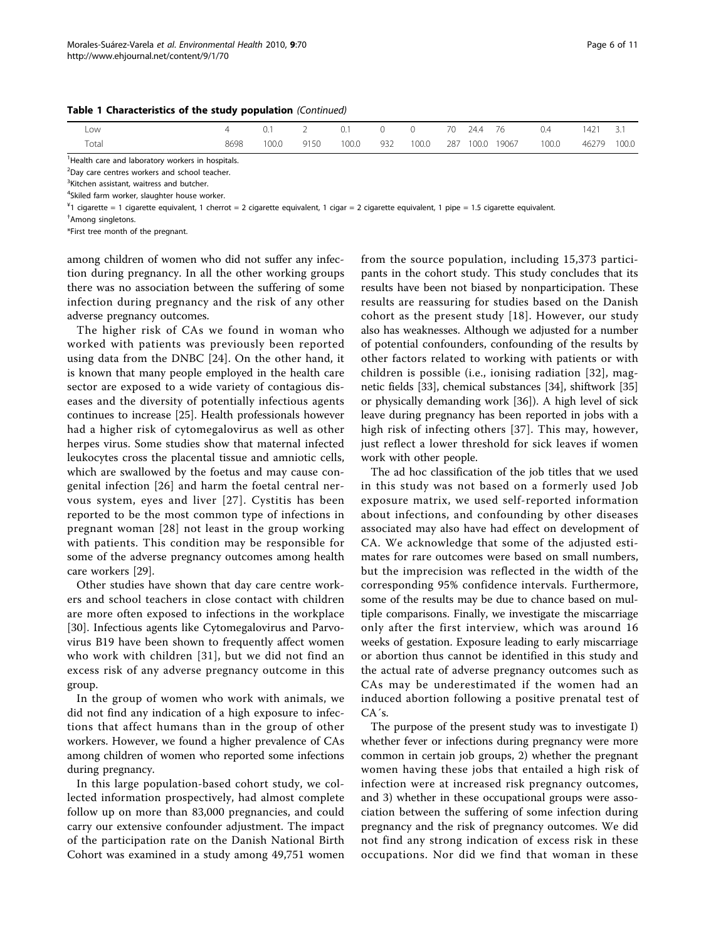|  |  | Table 1 Characteristics of the study population (Continued) |  |  |  |  |  |
|--|--|-------------------------------------------------------------|--|--|--|--|--|
|--|--|-------------------------------------------------------------|--|--|--|--|--|

| <b>LOW</b>          |      |       | _         | 0.    |     |       | 70  | 24.4  | 76    |       | 142 <sup>1</sup> | J.    |
|---------------------|------|-------|-----------|-------|-----|-------|-----|-------|-------|-------|------------------|-------|
| $T$ <sub>Otal</sub> | 8698 | 100.0 | 9150<br>◡ | 100.0 | 932 | 100.0 | 287 | 100.0 | 19067 | 100.0 | 46279            | 100.0 |

<sup>1</sup>Health care and laboratory workers in hospitals.

<sup>2</sup>Day care centres workers and school teacher.

<sup>3</sup>Kitchen assistant, waitress and butcher.

<sup>4</sup>Skiled farm worker, slaughter house worker.

¥ 1 cigarette = 1 cigarette equivalent, 1 cherrot = 2 cigarette equivalent, 1 cigar = 2 cigarette equivalent, 1 pipe = 1.5 cigarette equivalent.

† Among singletons.

\*First tree month of the pregnant.

among children of women who did not suffer any infection during pregnancy. In all the other working groups there was no association between the suffering of some infection during pregnancy and the risk of any other adverse pregnancy outcomes.

The higher risk of CAs we found in woman who worked with patients was previously been reported using data from the DNBC [[24](#page-9-0)]. On the other hand, it is known that many people employed in the health care sector are exposed to a wide variety of contagious diseases and the diversity of potentially infectious agents continues to increase [[25\]](#page-9-0). Health professionals however had a higher risk of cytomegalovirus as well as other herpes virus. Some studies show that maternal infected leukocytes cross the placental tissue and amniotic cells, which are swallowed by the foetus and may cause congenital infection [[26\]](#page-9-0) and harm the foetal central nervous system, eyes and liver [[27\]](#page-9-0). Cystitis has been reported to be the most common type of infections in pregnant woman [[28](#page-9-0)] not least in the group working with patients. This condition may be responsible for some of the adverse pregnancy outcomes among health care workers [\[29](#page-9-0)].

Other studies have shown that day care centre workers and school teachers in close contact with children are more often exposed to infections in the workplace [[30\]](#page-10-0). Infectious agents like Cytomegalovirus and Parvovirus B19 have been shown to frequently affect women who work with children [[31](#page-10-0)], but we did not find an excess risk of any adverse pregnancy outcome in this group.

In the group of women who work with animals, we did not find any indication of a high exposure to infections that affect humans than in the group of other workers. However, we found a higher prevalence of CAs among children of women who reported some infections during pregnancy.

In this large population-based cohort study, we collected information prospectively, had almost complete follow up on more than 83,000 pregnancies, and could carry our extensive confounder adjustment. The impact of the participation rate on the Danish National Birth Cohort was examined in a study among 49,751 women from the source population, including 15,373 participants in the cohort study. This study concludes that its results have been not biased by nonparticipation. These results are reassuring for studies based on the Danish cohort as the present study [[18\]](#page-9-0). However, our study also has weaknesses. Although we adjusted for a number of potential confounders, confounding of the results by other factors related to working with patients or with children is possible (i.e., ionising radiation [\[32\]](#page-10-0), magnetic fields [[33](#page-10-0)], chemical substances [[34\]](#page-10-0), shiftwork [[35](#page-10-0)] or physically demanding work [\[36](#page-10-0)]). A high level of sick leave during pregnancy has been reported in jobs with a high risk of infecting others [[37\]](#page-10-0). This may, however, just reflect a lower threshold for sick leaves if women work with other people.

The ad hoc classification of the job titles that we used in this study was not based on a formerly used Job exposure matrix, we used self-reported information about infections, and confounding by other diseases associated may also have had effect on development of CA. We acknowledge that some of the adjusted estimates for rare outcomes were based on small numbers, but the imprecision was reflected in the width of the corresponding 95% confidence intervals. Furthermore, some of the results may be due to chance based on multiple comparisons. Finally, we investigate the miscarriage only after the first interview, which was around 16 weeks of gestation. Exposure leading to early miscarriage or abortion thus cannot be identified in this study and the actual rate of adverse pregnancy outcomes such as CAs may be underestimated if the women had an induced abortion following a positive prenatal test of CA´s.

The purpose of the present study was to investigate I) whether fever or infections during pregnancy were more common in certain job groups, 2) whether the pregnant women having these jobs that entailed a high risk of infection were at increased risk pregnancy outcomes, and 3) whether in these occupational groups were association between the suffering of some infection during pregnancy and the risk of pregnancy outcomes. We did not find any strong indication of excess risk in these occupations. Nor did we find that woman in these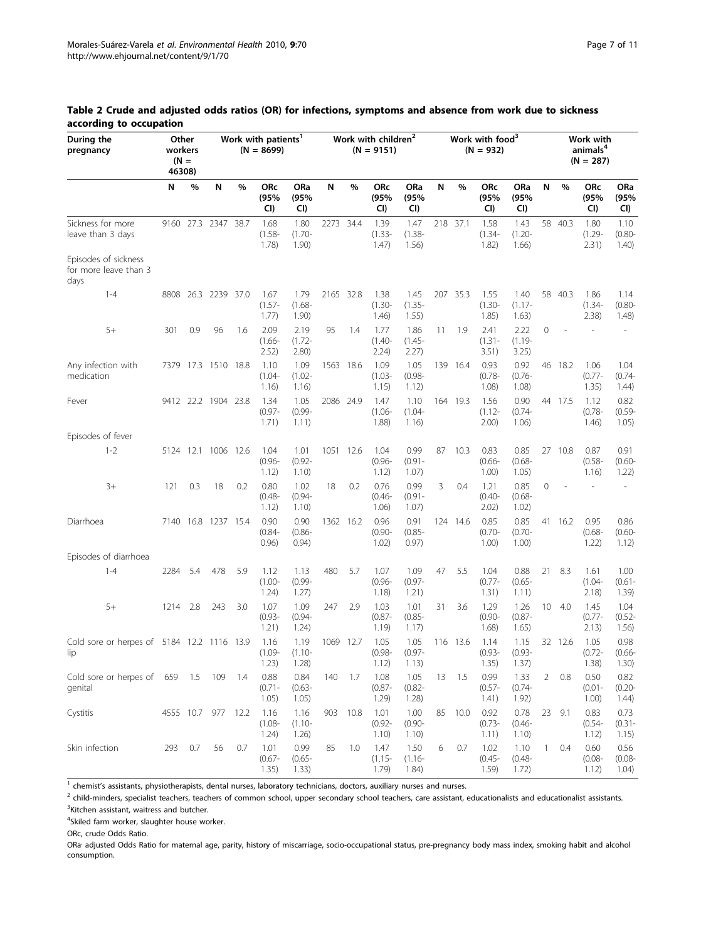| During the<br>pregnancy                               | Other<br>workers<br>$(N =$<br>46308) |           |                     |      | Work with patients <sup>1</sup><br>$(N = 8699)$ |                            |           |           | Work with children <sup>2</sup><br>$(N = 9151)$ |                            |     |          | Work with food <sup>3</sup><br>$(N = 932)$ |                            |              |         | Work with<br>animals <sup>4</sup><br>$(N = 287)$ |                            |
|-------------------------------------------------------|--------------------------------------|-----------|---------------------|------|-------------------------------------------------|----------------------------|-----------|-----------|-------------------------------------------------|----------------------------|-----|----------|--------------------------------------------|----------------------------|--------------|---------|--------------------------------------------------|----------------------------|
|                                                       | N                                    | %         | N                   | $\%$ | <b>ORc</b><br>(95%<br>CI)                       | ORa<br>(95%<br>CI)         | N         | %         | <b>ORc</b><br>(95%<br>CI)                       | <b>ORa</b><br>(95%<br>CI)  | N   | %        | ORc<br>(95%<br>CI)                         | <b>ORa</b><br>(95%<br>CI)  | N            | %       | <b>ORc</b><br>(95%<br>CI)                        | <b>ORa</b><br>(95%<br>CI)  |
| Sickness for more<br>leave than 3 days                |                                      |           | 9160 27.3 2347 38.7 |      | 1.68<br>$(1.58 -$<br>1.78)                      | 1.80<br>$(1.70 -$<br>1.90) | 2273 34.4 |           | 1.39<br>$(1.33 -$<br>1.47)                      | 1.47<br>$(1.38 -$<br>1.56) |     | 218 37.1 | 1.58<br>$(1.34 -$<br>1.82)                 | 1.43<br>$(1.20 -$<br>1.66) |              | 58 40.3 | 1.80<br>$(1.29 -$<br>2.31)                       | 1.10<br>$(0.80 -$<br>1.40) |
| Episodes of sickness<br>for more leave than 3<br>days |                                      |           |                     |      |                                                 |                            |           |           |                                                 |                            |     |          |                                            |                            |              |         |                                                  |                            |
| $1 - 4$                                               |                                      |           | 8808 26.3 2239 37.0 |      | 1.67<br>$(1.57 -$<br>1.77)                      | 1.79<br>$(1.68 -$<br>1.90) | 2165      | 32.8      | 1.38<br>$(1.30 -$<br>1.46)                      | 1.45<br>$(1.35 -$<br>1.55) | 207 | 35.3     | 1.55<br>$(1.30 -$<br>1.85)                 | 1.40<br>$(1.17 -$<br>1.63) | 58           | 40.3    | 1.86<br>$(1.34 -$<br>2.38)                       | 1.14<br>$(0.80 -$<br>1.48) |
| $5+$                                                  | 301                                  | 0.9       | 96                  | 1.6  | 2.09<br>$(1.66 -$<br>2.52)                      | 2.19<br>$(1.72 -$<br>2.80) | 95        | 1.4       | 1.77<br>$(1.40 -$<br>2.24)                      | 1.86<br>$(1.45 -$<br>2.27) | 11  | 1.9      | 2.41<br>$(1.31 -$<br>3.51)                 | 2.22<br>$(1.19 -$<br>3.25) | 0            |         |                                                  |                            |
| Any infection with<br>medication                      |                                      | 7379 17.3 | 1510 18.8           |      | 1.10<br>$(1.04 -$<br>1.16)                      | 1.09<br>$(1.02 -$<br>1.16) | 1563 18.6 |           | 1.09<br>$(1.03 -$<br>1.15)                      | 1.05<br>$(0.98 -$<br>1.12) | 139 | 16.4     | 0.93<br>$(0.78 -$<br>1.08)                 | 0.92<br>$(0.76 -$<br>1.08) | 46           | 18.2    | 1.06<br>$(0.77 -$<br>1.35)                       | 1.04<br>$(0.74 -$<br>1.44) |
| Fever                                                 |                                      |           | 9412 22.2 1904 23.8 |      | 1.34<br>$(0.97 -$<br>1.71)                      | 1.05<br>$(0.99 -$<br>1.11) | 2086 24.9 |           | 1.47<br>$(1.06 -$<br>1.88)                      | 1.10<br>$(1.04 -$<br>1.16) | 164 | 19.3     | 1.56<br>$(1.12 -$<br>2.00)                 | 0.90<br>$(0.74 -$<br>1.06) |              | 44 17.5 | 1.12<br>$(0.78 -$<br>1.46)                       | 0.82<br>$(0.59 -$<br>1.05) |
| Episodes of fever                                     |                                      |           |                     |      |                                                 |                            |           |           |                                                 |                            |     |          |                                            |                            |              |         |                                                  |                            |
| $1 - 2$                                               |                                      | 5124 12.1 | 1006                | 12.6 | 1.04<br>$(0.96 -$<br>1.12)                      | 1.01<br>$(0.92 -$<br>1.10) | 1051 12.6 |           | 1.04<br>$(0.96 -$<br>1.12)                      | 0.99<br>$(0.91 -$<br>1.07) | 87  | 10.3     | 0.83<br>$(0.66 -$<br>1.00)                 | 0.85<br>$(0.68 -$<br>1.05) |              | 27 10.8 | 0.87<br>$(0.58 -$<br>1.16)                       | 0.91<br>$(0.60 -$<br>1.22) |
| $3+$                                                  | 121                                  | 0.3       | 18                  | 0.2  | 0.80<br>$(0.48 -$<br>1.12)                      | 1.02<br>$(0.94 -$<br>1.10) | 18        | 0.2       | 0.76<br>$(0.46 -$<br>1.06)                      | 0.99<br>$(0.91 -$<br>1.07) | 3   | 0.4      | 1.21<br>$(0.40 -$<br>2.02)                 | 0.85<br>$(0.68 -$<br>1.02) | $\mathbf 0$  |         |                                                  |                            |
| Diarrhoea                                             |                                      | 7140 16.8 | 1237 15.4           |      | 0.90<br>$(0.84 -$<br>0.96)                      | 0.90<br>(0.86-<br>0.94)    |           | 1362 16.2 | 0.96<br>$(0.90 -$<br>1.02)                      | 0.91<br>$(0.85 -$<br>0.97) |     | 124 14.6 | 0.85<br>$(0.70 -$<br>1.00)                 | 0.85<br>$(0.70 -$<br>1.00) |              | 41 16.2 | 0.95<br>$(0.68 -$<br>1.22)                       | 0.86<br>$(0.60 -$<br>1.12) |
| Episodes of diarrhoea                                 |                                      |           |                     |      |                                                 |                            |           |           |                                                 |                            |     |          |                                            |                            |              |         |                                                  |                            |
| $1 - 4$                                               | 2284                                 | 5.4       | 478                 | 5.9  | 1.12<br>$(1.00 -$<br>1.24)                      | 1.13<br>$(0.99 -$<br>1.27) | 480       | 5.7       | 1.07<br>$(0.96 -$<br>1.18)                      | 1.09<br>$(0.97 -$<br>1.21) | 47  | 5.5      | 1.04<br>$(0.77 -$<br>1.31)                 | 0.88<br>$(0.65 -$<br>1.11) | 21           | 8.3     | 1.61<br>$(1.04 -$<br>2.18)                       | 1.00<br>$(0.61 -$<br>1.39) |
| $5+$                                                  | 1214                                 | 2.8       | 243                 | 3.0  | 1.07<br>$(0.93 -$<br>1.21)                      | 1.09<br>$(0.94 -$<br>1.24) | 247       | 2.9       | 1.03<br>$(0.87 -$<br>1.19)                      | 1.01<br>$(0.85 -$<br>1.17) | 31  | 3.6      | 1.29<br>$(0.90 -$<br>1.68)                 | 1.26<br>$(0.87 -$<br>1.65) | 10           | 4.0     | 1.45<br>$(0.77 -$<br>2.13)                       | 1.04<br>$(0.52 -$<br>1.56) |
| Cold sore or herpes of 5184 12.2 1116 13.9<br>lip     |                                      |           |                     |      | 1.16<br>$(1.09 -$<br>1.23)                      | 1.19<br>$(1.10 -$<br>1.28) | 1069      | 12.7      | 1.05<br>$(0.98 -$<br>1.12)                      | 1.05<br>$(0.97 -$<br>1.13) |     | 116 13.6 | 1.14<br>$(0.93 -$<br>1.35)                 | 1.15<br>$(0.93 -$<br>1.37) |              | 32 12.6 | 1.05<br>$(0.72 -$<br>1.38)                       | 0.98<br>$(0.66 -$<br>1.30) |
| Cold sore or herpes of 659 1.5<br>genital             |                                      |           | 109                 | 1.4  | 0.88<br>$(0.71 -$<br>1.05)                      | 0.84<br>$(0.63 -$<br>1.05) | 140       | 1.7       | 1.08<br>$(0.87 -$<br>1.29)                      | 1.05<br>$(0.82 -$<br>1.28) | 13  | 1.5      | 0.99<br>$(0.57 -$<br>1.41)                 | 1.33<br>$(0.74 -$<br>1.92) | 2            | 0.8     | 0.50<br>$(0.01 -$<br>1.00)                       | 0.82<br>$(0.20 -$<br>1.44) |
| Cystitis                                              |                                      |           | 4555 10.7 977       | 12.2 | 1.16<br>$(1.08 -$<br>1.24)                      | 1.16<br>$(1.10 -$<br>1.26) | 903       | 10.8      | 1.01<br>$(0.92 -$<br>1.10)                      | 1.00<br>$(0.90 -$<br>1.10) | 85  | 10.0     | 0.92<br>$(0.73 -$<br>1.11)                 | 0.78<br>$(0.46 -$<br>1.10) | 23           | 9.1     | 0.83<br>$(0.54 -$<br>1.12)                       | 0.73<br>$(0.31 -$<br>1.15) |
| Skin infection                                        | 293                                  | 0.7       | 56                  | 0.7  | 1.01<br>$(0.67 -$<br>1.35)                      | 0.99<br>$(0.65 -$<br>1.33) | 85        | 1.0       | 1.47<br>$(1.15 -$<br>1.79)                      | 1.50<br>$(1.16 -$<br>1.84) | 6   | 0.7      | 1.02<br>$(0.45 -$<br>1.59)                 | 1.10<br>$(0.48 -$<br>1.72) | $\mathbf{1}$ | 0.4     | 0.60<br>$(0.08 -$<br>1.12)                       | 0.56<br>$(0.08 -$<br>1.04) |

# <span id="page-6-0"></span>Table 2 Crude and adjusted odds ratios (OR) for infections, symptoms and absence from work due to sickness according to occupation

 $\frac{1}{1}$  chemist's assistants, physiotherapists, dental nurses, laboratory technicians, doctors, auxiliary nurses and nurses.

<sup>2</sup> child-minders, specialist teachers, teachers of common school, upper secondary school teachers, care assistant, educationalists and educationalist assistants.

<sup>3</sup>Kitchen assistant, waitress and butcher.

<sup>4</sup>Skiled farm worker, slaughter house worker.

ORc, crude Odds Ratio.

ORa, adjusted Odds Ratio for maternal age, parity, history of miscarriage, socio-occupational status, pre-pregnancy body mass index, smoking habit and alcohol consumption.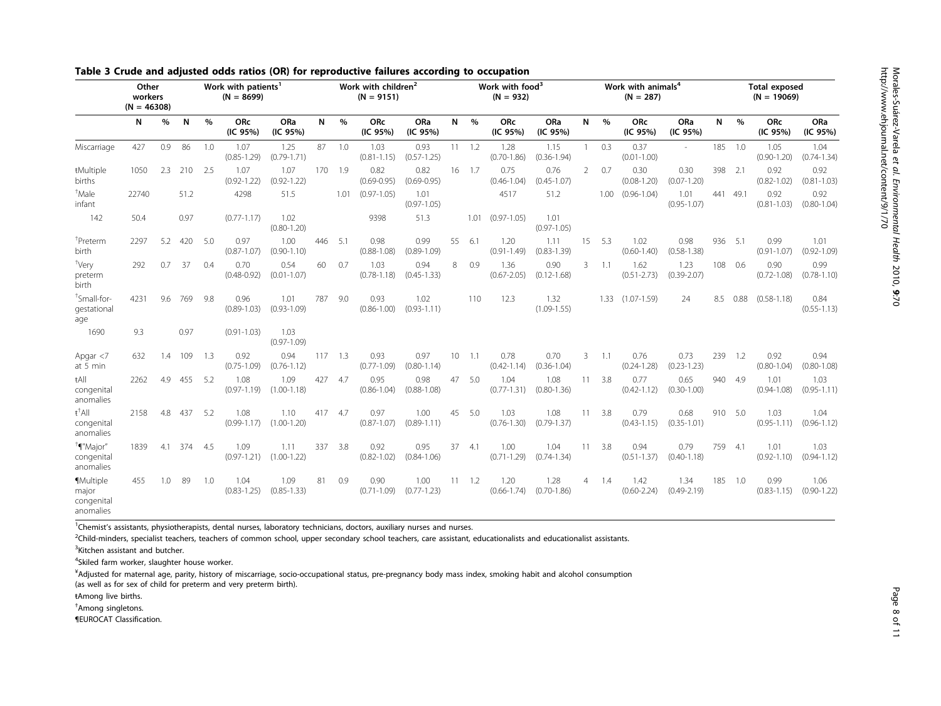|                                                     | Other<br>workers<br>$(N = 46308)$ |     |         | Work with patients <sup>1</sup><br>$(N = 8699)$ |                         |                         |             |       | Work with children <sup>2</sup><br>$(N = 9151)$ |                         |    |             | Work with food <sup>3</sup><br>$(N = 932)$ |                         |                |        | Work with animals <sup>4</sup><br>$(N = 287)$ |                         | <b>Total exposed</b><br>$(N = 19069)$ |          |                         |                         |
|-----------------------------------------------------|-----------------------------------|-----|---------|-------------------------------------------------|-------------------------|-------------------------|-------------|-------|-------------------------------------------------|-------------------------|----|-------------|--------------------------------------------|-------------------------|----------------|--------|-----------------------------------------------|-------------------------|---------------------------------------|----------|-------------------------|-------------------------|
|                                                     | N                                 | %   | N       | %                                               | <b>ORc</b><br>(IC 95%)  | ORa<br>(IC 95%)         | N           | $\%$  | <b>ORc</b><br>(IC 95%)                          | <b>ORa</b><br>(IC 95%)  | N  | $\%$        | <b>ORc</b><br>(IC 95%)                     | <b>ORa</b><br>(IC 95%)  | N              | %      | <b>ORc</b><br>(IC 95%)                        | ORa<br>(IC 95%)         | N                                     | %        | <b>ORc</b><br>(IC 95%)  | <b>ORa</b><br>(IC 95%)  |
| Miscarriage                                         | 427                               | 0.9 | 86      | 1.0                                             | 1.07<br>$(0.85 - 1.29)$ | 1.25<br>$(0.79 - 1.71)$ | 87          | 1.0   | 1.03<br>$(0.81 - 1.15)$                         | 0.93<br>$(0.57 - 1.25)$ |    | $11 \t 1.2$ | 1.28<br>$(0.70 - 1.86)$                    | 1.15<br>$(0.36 - 1.94)$ | 1              | 0.3    | 0.37<br>$(0.01 - 1.00)$                       | $\sim$                  |                                       | 185 1.0  | 1.05<br>$(0.90 - 1.20)$ | 1.04<br>$(0.74 - 1.34)$ |
| <b>tMultiple</b><br>births                          | 1050                              | 2.3 | 210     | 2.5                                             | 1.07<br>$(0.92 - 1.22)$ | 1.07<br>$(0.92 - 1.22)$ | 170         | 1.9   | 0.82<br>$(0.69 - 0.95)$                         | 0.82<br>$(0.69 - 0.95)$ | 16 | 1.7         | 0.75<br>$(0.46 - 1.04)$                    | 0.76<br>$(0.45 - 1.07)$ | $\overline{2}$ | 0.7    | 0.30<br>$(0.08 - 1.20)$                       | 0.30<br>$(0.07 - 1.20)$ | 398                                   | 2.1      | 0.92<br>$(0.82 - 1.02)$ | 0.92<br>$(0.81 - 1.03)$ |
| <sup>+</sup> Male<br>infant                         | 22740                             |     | 51.2    |                                                 | 4298                    | 51.5                    |             | 1.01  | $(0.97 - 1.05)$                                 | 1.01<br>$(0.97 - 1.05)$ |    |             | 4517                                       | 51.2                    |                |        | $1.00$ $(0.96-1.04)$                          | 1.01<br>$(0.95 - 1.07)$ |                                       | 441 49.1 | 0.92<br>$(0.81 - 1.03)$ | 0.92<br>$(0.80 - 1.04)$ |
| 142                                                 | 50.4                              |     | 0.97    |                                                 | $(0.77 - 1.17)$         | 1.02<br>$(0.80 - 1.20)$ |             |       | 9398                                            | 51.3                    |    | 1.01        | $(0.97 - 1.05)$                            | 1.01<br>$(0.97 - 1.05)$ |                |        |                                               |                         |                                       |          |                         |                         |
| <sup>+</sup> Preterm<br>birth                       | 2297                              | 5.2 | 420     | 5.0                                             | 0.97<br>$(0.87 - 1.07)$ | 1.00<br>$(0.90 - 1.10)$ | 446         | 5.1   | 0.98<br>$(0.88 - 1.08)$                         | 0.99<br>$(0.89 - 1.09)$ | 55 | 6.1         | 1.20<br>$(0.91 - 1.49)$                    | 1.11<br>$(0.83 - 1.39)$ | 15             | 5.3    | 1.02<br>$(0.60 - 1.40)$                       | 0.98<br>$(0.58 - 1.38)$ | 936 5.1                               |          | 0.99<br>$(0.91 - 1.07)$ | 1.01<br>$(0.92 - 1.09)$ |
| <sup>+</sup> Very<br>preterm<br>birth               | 292                               | 0.7 | 37      | 0.4                                             | 0.70<br>$(0.48 - 0.92)$ | 0.54<br>$(0.01 - 1.07)$ | 60          | 0.7   | 1.03<br>$(0.78 - 1.18)$                         | 0.94<br>$(0.45 - 1.33)$ | 8  | 0.9         | 1.36<br>$(0.67 - 2.05)$                    | 0.90<br>$(0.12 - 1.68)$ | 3              | 1.1    | 1.62<br>$(0.51 - 2.73)$                       | 1.23<br>$(0.39 - 2.07)$ | 108                                   | 0.6      | 0.90<br>$(0.72 - 1.08)$ | 0.99<br>$(0.78 - 1.10)$ |
| <sup>+</sup> Small-for-<br>qestational<br>age       | 4231                              | 9.6 | 769     | 9.8                                             | 0.96<br>$(0.89 - 1.03)$ | 1.01<br>$(0.93 - 1.09)$ | 787         | 9.0   | 0.93<br>$(0.86 - 1.00)$                         | 1.02<br>$(0.93 - 1.11)$ |    | 110         | 12.3                                       | 1.32<br>$(1.09 - 1.55)$ |                |        | 1.33 (1.07-1.59)                              | 24                      | 8.5                                   | 0.88     | $(0.58 - 1.18)$         | 0.84<br>$(0.55 - 1.13)$ |
| 1690                                                | 9.3                               |     | 0.97    |                                                 | $(0.91 - 1.03)$         | 1.03<br>$(0.97 - 1.09)$ |             |       |                                                 |                         |    |             |                                            |                         |                |        |                                               |                         |                                       |          |                         |                         |
| Apgar $<$ 7<br>at 5 min                             | 632                               | 1.4 | 109     | 1.3                                             | 0.92<br>$(0.75 - 1.09)$ | 0.94<br>$(0.76 - 1.12)$ | $117 - 1.3$ |       | 0.93<br>$(0.77 - 1.09)$                         | 0.97<br>$(0.80 - 1.14)$ |    | $10 - 1.1$  | 0.78<br>$(0.42 - 1.14)$                    | 0.70<br>$(0.36 - 1.04)$ | 3              | 1.1    | 0.76<br>$(0.24 - 1.28)$                       | 0.73<br>$(0.23 - 1.23)$ | 239                                   | 1.2      | 0.92<br>$(0.80 - 1.04)$ | 0.94<br>$(0.80 - 1.08)$ |
| tAll<br>congenital<br>anomalies                     | 2262                              | 4.9 | 455     | 5.2                                             | 1.08<br>$(0.97 - 1.19)$ | 1.09<br>$(1.00 - 1.18)$ | 427 4.7     |       | 0.95<br>$(0.86 - 1.04)$                         | 0.98<br>$(0.88 - 1.08)$ |    | 47 5.0      | 1.04<br>$(0.77 - 1.31)$                    | 1.08<br>$(0.80 - 1.36)$ |                | 11 3.8 | 0.77<br>$(0.42 - 1.12)$                       | 0.65<br>$(0.30 - 1.00)$ |                                       | 940 4.9  | 1.01<br>$(0.94 - 1.08)$ | 1.03<br>$(0.95 - 1.11)$ |
| $t^{\dagger}$ All<br>congenital<br>anomalies        | 2158                              | 4.8 | 437     | 5.2                                             | 1.08<br>$(0.99 - 1.17)$ | 1.10<br>$(1.00 - 1.20)$ | 417         | 4.7   | 0.97<br>$(0.87 - 1.07)$                         | 1.00<br>$(0.89 - 1.11)$ | 45 | 5.0         | 1.03<br>$(0.76 - 1.30)$                    | 1.08<br>$(0.79 - 1.37)$ | 11             | 3.8    | 0.79<br>$(0.43 - 1.15)$                       | 0.68<br>$(0.35 - 1.01)$ |                                       | 910 5.0  | 1.03<br>$(0.95 - 1.11)$ | 1.04<br>$(0.96 - 1.12)$ |
| <sup>+</sup> ¶"Major"<br>congenital<br>anomalies    | 1839                              | 4.1 | 374 4.5 |                                                 | 1.09<br>$(0.97 - 1.21)$ | 1.11<br>$(1.00 - 1.22)$ | 337         | - 3.8 | 0.92<br>$(0.82 - 1.02)$                         | 0.95<br>$(0.84 - 1.06)$ | 37 | 4.1         | 1.00<br>$(0.71 - 1.29)$                    | 1.04<br>$(0.74 - 1.34)$ | 11             | 3.8    | 0.94<br>$(0.51 - 1.37)$                       | 0.79<br>$(0.40 - 1.18)$ | 759                                   | $-4.1$   | 1.01<br>$(0.92 - 1.10)$ | 1.03<br>$(0.94 - 1.12)$ |
| <b>Multiple</b><br>major<br>congenital<br>anomalies | 455                               | 1.0 | 89      | 1.0                                             | 1.04<br>$(0.83 - 1.25)$ | 1.09<br>$(0.85 - 1.33)$ | 81          | 0.9   | 0.90<br>$(0.71 - 1.09)$                         | 1.00<br>$(0.77 - 1.23)$ |    | $11 \t 1.2$ | 1.20<br>$(0.66 - 1.74)$                    | 1.28<br>$(0.70 - 1.86)$ | 4              | 1.4    | 1.42<br>$(0.60 - 2.24)$                       | 1.34<br>$(0.49 - 2.19)$ | 185                                   | 1.0      | 0.99<br>$(0.83 - 1.15)$ | 1.06<br>$(0.90 - 1.22)$ |

<span id="page-7-0"></span>Table 3 Crude and adjusted odds ratios (OR) for reproductive failures according to occupation

<sup>1</sup>Chemist's assistants, physiotherapists, dental nurses, laboratory technicians, doctors, auxiliary nurses and nurses.

<sup>2</sup>Child-minders, specialist teachers, teachers of common school, upper secondary school teachers, care assistant, educationalists and educationalist assistants.

<sup>3</sup>Kitchen assistant and butcher.

<sup>4</sup>Skiled farm worker, slaughter house worker.

¥ Adjusted for maternal age, parity, history of miscarriage, socio-occupational status, pre-pregnancy body mass index, smoking habit and alcohol consumption (as well as for sex of child for preterm and very preterm birth).

ŧAmong live births.

† Among singletons.

¶EUROCAT Classification.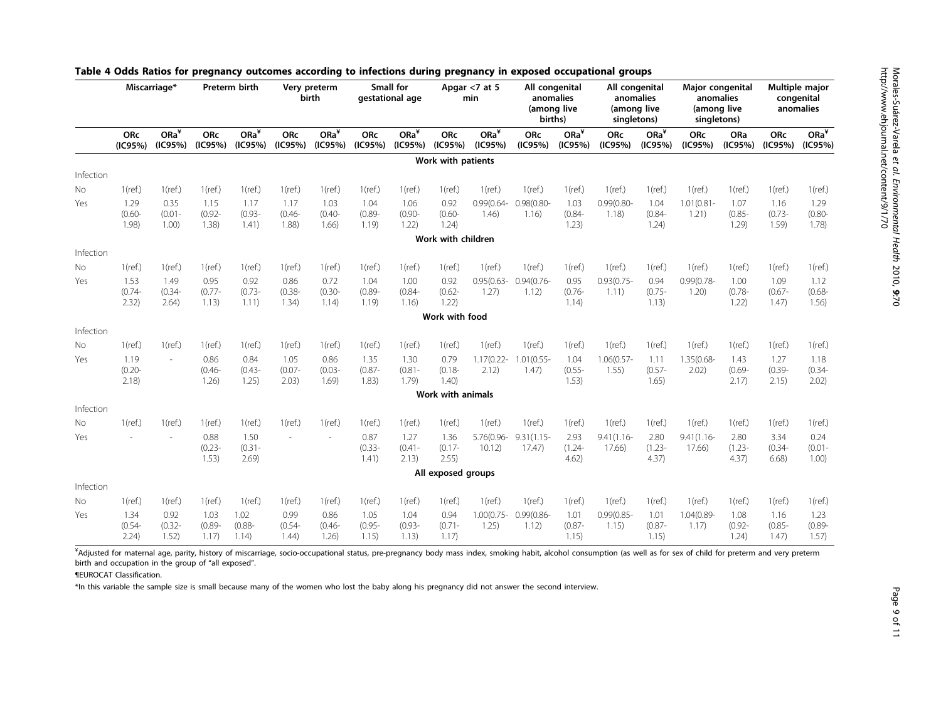|           | Miscarriage*               |                            |                            | Preterm birth               |                            | Very preterm<br>birth      |                            | Small for<br>gestational age |                            | Apgar <7 at 5<br>min        | All congenital<br>(among live<br>births) | anomalies                  | All congenital<br>anomalies<br>singletons) | (among live                | Major congenital<br>anomalies<br>(among live<br>singletons) |                            |                            | Multiple major<br>congenital<br>anomalies |
|-----------|----------------------------|----------------------------|----------------------------|-----------------------------|----------------------------|----------------------------|----------------------------|------------------------------|----------------------------|-----------------------------|------------------------------------------|----------------------------|--------------------------------------------|----------------------------|-------------------------------------------------------------|----------------------------|----------------------------|-------------------------------------------|
|           | ORc<br>(IC95%)             | $ORa^*$<br>(IC95%)         | <b>ORc</b><br>(IC95%)      | ORa <sup>¥</sup><br>(IC95%) | <b>ORc</b><br>(IC95%)      | $ORa^*$<br>(IC95%)         | <b>ORc</b><br>(IC95%)      | $ORa^*$<br>(IC95%)           | <b>ORc</b><br>(IC95%)      | ORa <sup>¥</sup><br>(IC95%) | <b>ORc</b><br>(IC95%)                    | $ORa^*$<br>(IC95%)         | <b>ORc</b><br>(IC95%)                      | $ORa^*$<br>(IC95%)         | <b>ORc</b><br>(IC95%)                                       | <b>ORa</b><br>(IC95%)      | <b>ORc</b><br>(IC95%)      | $ORa^*$<br>(IC95%)                        |
|           |                            |                            |                            |                             |                            |                            |                            |                              | Work with patients         |                             |                                          |                            |                                            |                            |                                                             |                            |                            |                                           |
| Infection |                            |                            |                            |                             |                            |                            |                            |                              |                            |                             |                                          |                            |                                            |                            |                                                             |                            |                            |                                           |
| No        | $1$ (ref.)                 | $1$ (ref.)                 | $1$ (ref.)                 | $1$ (ref.)                  | $1$ (ref.)                 | $1$ (ref.)                 | $1$ (ref.)                 | $1$ (ref.)                   | $1$ (ref.)                 | $1$ (ref.)                  | $1$ (ref.)                               | $1$ (ref.)                 | $1$ (ref.)                                 | $1$ (ref.)                 | $1$ (ref.)                                                  | $1$ (ref.)                 | $1$ (ref.)                 | $1$ (ref.)                                |
| Yes       | 1.29<br>$(0.60 -$<br>1.98  | 0.35<br>$(0.01 -$<br>1.00) | 1.15<br>$(0.92 -$<br>1.38) | 1.17<br>$(0.93 -$<br>1.41)  | 1.17<br>$(0.46 -$<br>1.88) | 1.03<br>$(0.40 -$<br>1,66  | 1.04<br>$(0.89 -$<br>1.19  | 1.06<br>$(0.90 -$<br>1.22)   | 0.92<br>$(0.60 -$<br>1.24) | 0.99(0.64-<br>1.46)         | $0.98(0.80 -$<br>1.16)                   | 1.03<br>$(0.84 -$<br>1.23) | $0.99(0.80 -$<br>1.18                      | 1.04<br>$(0.84 -$<br>1.24) | 1.01(0.81<br>1.21)                                          | 1.07<br>$(0.85 -$<br>1.29  | 1.16<br>$(0.73 -$<br>1.59) | 1.29<br>$(0.80 -$<br>1.78)                |
|           |                            |                            |                            |                             |                            |                            |                            |                              | Work with children         |                             |                                          |                            |                                            |                            |                                                             |                            |                            |                                           |
| Infection |                            |                            |                            |                             |                            |                            |                            |                              |                            |                             |                                          |                            |                                            |                            |                                                             |                            |                            |                                           |
| No        | $1$ (ref.)                 | $1$ (ref.)                 | $1$ (ref.)                 | $1$ (ref.)                  | $1$ (ref.)                 | $1$ (ref.)                 | $1$ (ref.)                 | $1$ (ref.)                   | $1$ (ref.)                 | $1$ (ref.)                  | $1$ (ref.)                               | $1$ (ref.)                 | $1$ (ref.)                                 | $1$ (ref.)                 | $1$ (ref.)                                                  | $1$ (ref.)                 | $1$ (ref.)                 | $1$ (ref.)                                |
| Yes       | 1.53<br>$(0.74 -$<br>2.32) | 1.49<br>$(0.34 -$<br>2.64) | 0.95<br>$(0.77 -$<br>1.13) | 0.92<br>$(0.73 -$<br>1.11)  | 0.86<br>$(0.38 -$<br>1.34) | 0.72<br>$(0.30 -$<br>1.14) | 1.04<br>$(0.89 -$<br>1.19  | 1.00<br>$(0.84 -$<br>1.16    | 0.92<br>$(0.62 -$<br>1.22  | $0.95(0.63 -$<br>1.27)      | $0.94(0.76 -$<br>1.12)                   | 0.95<br>$(0.76 -$<br>1.14) | $0.93(0.75 -$<br>1.11)                     | 0.94<br>$(0.75 -$<br>1.13) | 0.99(0.78<br>$1.20$ )                                       | 1.00<br>$(0.78 -$<br>1.22) | 1.09<br>$(0.67 -$<br>1.47) | 1.12<br>$(0.68 -$<br>1.56)                |
|           |                            |                            |                            |                             |                            |                            |                            |                              | Work with food             |                             |                                          |                            |                                            |                            |                                                             |                            |                            |                                           |
| Infection |                            |                            |                            |                             |                            |                            |                            |                              |                            |                             |                                          |                            |                                            |                            |                                                             |                            |                            |                                           |
| No        | $1$ (ref.)                 | $1$ (ref.)                 | $1$ (ref.)                 | $1$ (ref.)                  | $1$ (ref.)                 | $1$ (ref.)                 | $1$ (ref.)                 | $1$ (ref.)                   | $1$ (ref.)                 | $1$ (ref.)                  | $1$ (ref.)                               | $1$ (ref.)                 | $1$ (ref.)                                 | $1$ (ref.)                 | $1$ (ref.)                                                  | $1$ (ref.)                 | $1$ (ref.)                 | $1$ (ref.)                                |
| Yes       | 1.19<br>$(0.20 -$<br>2.18  | $\overline{\phantom{a}}$   | 0.86<br>$(0.46 -$<br>1,26  | 0.84<br>$(0.43 -$<br>1.25)  | 1.05<br>$(0.07 -$<br>2.03) | 0.86<br>$(0.03 -$<br>1.69  | 1.35<br>$(0.87 -$<br>1.83) | 1.30<br>$(0.81 -$<br>1.79    | 0.79<br>$(0.18 -$<br>1.40  | $1.17(0.22 -$<br>2.12)      | $1.01(0.55 -$<br>1.47)                   | 1.04<br>$(0.55 -$<br>1.53) | 1.06(0.57-<br>1.55)                        | 1.11<br>$(0.57 -$<br>1.65) | 1.35(0.68-<br>2.02)                                         | 1.43<br>$(0.69 -$<br>2.17) | 1.27<br>$(0.39 -$<br>2.15) | 1.18<br>$(0.34 -$<br>2.02)                |
|           |                            |                            |                            |                             |                            |                            |                            |                              | Work with animals          |                             |                                          |                            |                                            |                            |                                                             |                            |                            |                                           |
| Infection |                            |                            |                            |                             |                            |                            |                            |                              |                            |                             |                                          |                            |                                            |                            |                                                             |                            |                            |                                           |
| No        | $1$ (ref.)                 | $1$ (ref.)                 | $1$ (ref.)                 | $1$ (ref.)                  | $1$ (ref.)                 | $1$ (ref.)                 | $1$ (ref.)                 | $1$ (ref.)                   | $1$ (ref.)                 | $1$ (ref.)                  | $1$ (ref.)                               | $1$ (ref.)                 | $1$ (ref.)                                 | $1$ (ref.)                 | $1$ (ref.)                                                  | $1$ (ref.)                 | $1$ (ref.)                 | $1$ (ref.)                                |
| Yes       |                            |                            | 0.88<br>$(0.23 -$<br>1.53) | 1.50<br>$(0.31 -$<br>2.69   |                            |                            | 0.87<br>$(0.33 -$<br>1.41) | 1.27<br>$(0.41 -$<br>2.13)   | 1.36<br>$(0.17 -$<br>2.55  | 5.76(0.96-<br>10.12         | $9.31(1.15 -$<br>17.47)                  | 2.93<br>$(1.24 -$<br>4.62) | $9.41(1.16 -$<br>17.66)                    | 2.80<br>$(1.23 -$<br>4.37  | $9.41(1.16 -$<br>17.66)                                     | 2.80<br>$(1.23 -$<br>4.37) | 3.34<br>$(0.34 -$<br>6.68  | 0.24<br>$(0.01 -$<br>1.00)                |
|           |                            |                            |                            |                             |                            |                            |                            |                              | All exposed groups         |                             |                                          |                            |                                            |                            |                                                             |                            |                            |                                           |
| Infection |                            |                            |                            |                             |                            |                            |                            |                              |                            |                             |                                          |                            |                                            |                            |                                                             |                            |                            |                                           |
| No        | $1$ (ref.)                 | $1$ (ref.)                 | $1$ (ref.)                 | $1$ (ref.)                  | $1$ (ref.)                 | $1$ (ref.)                 | $1$ (ref.)                 | $1$ (ref.)                   | $1$ (ref.)                 | $1$ (ref.)                  | $1$ (ref.)                               | $1$ (ref.)                 | $1$ (ref.)                                 | $1$ (ref.)                 | $1$ (ref.)                                                  | $1$ (ref.)                 | $1$ (ref.)                 | $1$ (ref.)                                |
| Yes       | 1.34<br>$(0.54 -$<br>2.24  | 0.92<br>$(0.32 -$<br>1.52) | 1.03<br>$(0.89 -$<br>1.17) | 1.02<br>$(0.88 -$<br>1.14)  | 0.99<br>$(0.54 -$<br>1.44) | 0.86<br>$(0.46 -$<br>1.26  | 1.05<br>$(0.95 -$<br>1.15) | 1.04<br>$(0.93 -$<br>1.13)   | 0.94<br>$(0.71 -$<br>1.17  | 1.00(0.75-<br>1.25)         | $0.99(0.86 -$<br>1.12)                   | 1.01<br>$(0.87 -$<br>1.15) | $0.99(0.85 -$<br>1.15)                     | 1.01<br>$(0.87 -$<br>1.15) | 1.04(0.89-<br>1.17)                                         | 1.08<br>$(0.92 -$<br>1.24) | 1.16<br>$(0.85 -$<br>1.47  | 1.23<br>$(0.89 -$<br>1.57                 |

<span id="page-8-0"></span>Table 4 Odds Ratios for pregnancy outcomes according to infections during pregnancy in exposed occupational groups

¥ Adjusted for maternal age, parity, history of miscarriage, socio-occupational status, pre-pregnancy body mass index, smoking habit, alcohol consumption (as well as for sex of child for preterm and very preterm birth and occupation in the group of "all exposed".

¶EUROCAT Classification.

\*In this variable the sample size is small because many of the women who lost the baby along his pregnancy did not answer the second interview.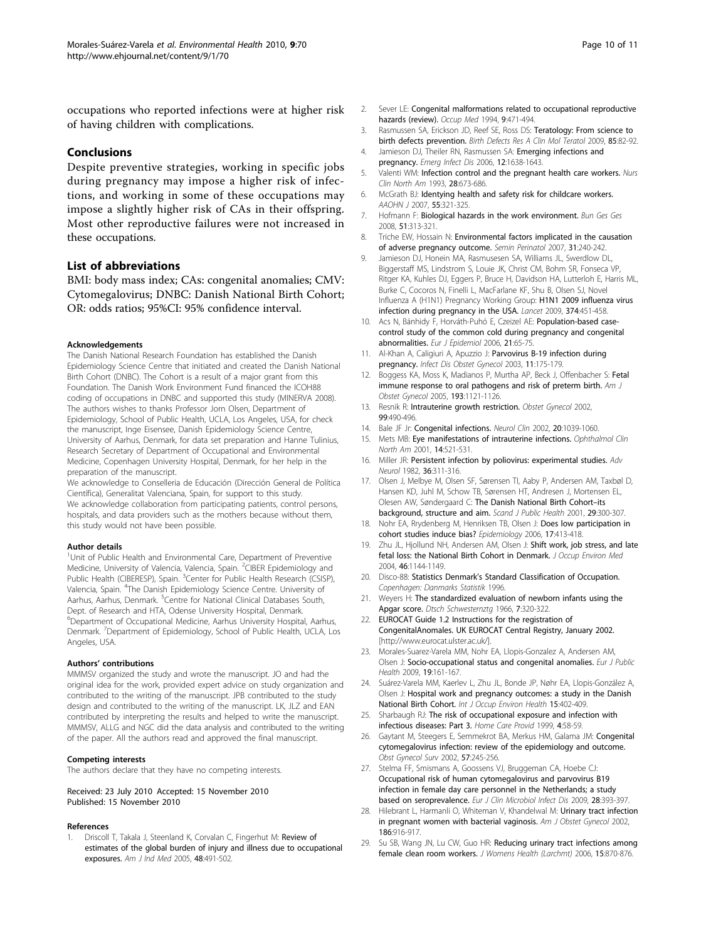<span id="page-9-0"></span>occupations who reported infections were at higher risk of having children with complications.

# Conclusions

Despite preventive strategies, working in specific jobs during pregnancy may impose a higher risk of infections, and working in some of these occupations may impose a slightly higher risk of CAs in their offspring. Most other reproductive failures were not increased in these occupations.

# List of abbreviations

BMI: body mass index; CAs: congenital anomalies; CMV: Cytomegalovirus; DNBC: Danish National Birth Cohort; OR: odds ratios; 95%CI: 95% confidence interval.

#### Acknowledgements

The Danish National Research Foundation has established the Danish Epidemiology Science Centre that initiated and created the Danish National Birth Cohort (DNBC). The Cohort is a result of a major grant from this Foundation. The Danish Work Environment Fund financed the ICOH88 coding of occupations in DNBC and supported this study (MINERVA 2008). The authors wishes to thanks Professor Jorn Olsen, Department of Epidemiology, School of Public Health, UCLA, Los Angeles, USA, for check the manuscript, Inge Eisensee, Danish Epidemiology Science Centre, University of Aarhus, Denmark, for data set preparation and Hanne Tulinius, Research Secretary of Department of Occupational and Environmental Medicine, Copenhagen University Hospital, Denmark, for her help in the preparation of the manuscript.

We acknowledge to Conselleria de Educación (Dirección General de Política Científica), Generalitat Valenciana, Spain, for support to this study. We acknowledge collaboration from participating patients, control persons, hospitals, and data providers such as the mothers because without them, this study would not have been possible.

#### Author details

<sup>1</sup>Unit of Public Health and Environmental Care, Department of Preventive Medicine, University of Valencia, Valencia, Spain. <sup>2</sup>CIBER Epidemiology and Public Health (CIBERESP), Spain. <sup>3</sup>Center for Public Health Research (CSISP), Valencia, Spain. <sup>4</sup>The Danish Epidemiology Science Centre. University of Aarhus, Aarhus, Denmark. <sup>5</sup>Centre for National Clinical Databases South, Dept. of Research and HTA, Odense University Hospital, Denmark. 6 Department of Occupational Medicine, Aarhus University Hospital, Aarhus, Denmark. <sup>7</sup>Department of Epidemiology, School of Public Health, UCLA, Los Angeles, USA.

#### Authors' contributions

MMMSV organized the study and wrote the manuscript. JO and had the original idea for the work, provided expert advice on study organization and contributed to the writing of the manuscript. JPB contributed to the study design and contributed to the writing of the manuscript. LK, JLZ and EAN contributed by interpreting the results and helped to write the manuscript. MMMSV, ALLG and NGC did the data analysis and contributed to the writing of the paper. All the authors read and approved the final manuscript.

#### Competing interests

The authors declare that they have no competing interests.

Received: 23 July 2010 Accepted: 15 November 2010 Published: 15 November 2010

#### References

Driscoll T, Takala J, Steenland K, Corvalan C, Fingerhut M: [Review of](http://www.ncbi.nlm.nih.gov/pubmed/16299705?dopt=Abstract) [estimates of the global burden of injury and illness due to occupational](http://www.ncbi.nlm.nih.gov/pubmed/16299705?dopt=Abstract) [exposures.](http://www.ncbi.nlm.nih.gov/pubmed/16299705?dopt=Abstract) Am J Ind Med 2005, 48:491-502.

- 2. Sever LE: [Congenital malformations related to occupational reproductive](http://www.ncbi.nlm.nih.gov/pubmed/7831593?dopt=Abstract) [hazards \(review\).](http://www.ncbi.nlm.nih.gov/pubmed/7831593?dopt=Abstract) Occup Med 1994, 9:471-494.
- 3. Rasmussen SA, Erickson JD, Reef SE, Ross DS: [Teratology: From science to](http://www.ncbi.nlm.nih.gov/pubmed/19067401?dopt=Abstract) [birth defects prevention.](http://www.ncbi.nlm.nih.gov/pubmed/19067401?dopt=Abstract) Birth Defects Res A Clin Mol Teratol 2009, 85:82-92.
- 4. Jamieson DJ, Theiler RN, Rasmussen SA: [Emerging infections and](http://www.ncbi.nlm.nih.gov/pubmed/17283611?dopt=Abstract) [pregnancy.](http://www.ncbi.nlm.nih.gov/pubmed/17283611?dopt=Abstract) Emerg Infect Dis 2006, 12:1638-1643.
- 5. Valenti WM: [Infection control and the pregnant health care workers.](http://www.ncbi.nlm.nih.gov/pubmed/8367332?dopt=Abstract) Nurs Clin North Am 1993, 28:673-686.
- 6. McGrath BJ: [Identying health and safety risk for childcare workers.](http://www.ncbi.nlm.nih.gov/pubmed/17847626?dopt=Abstract) AAOHN J 2007, 55:321-325.
- 7. Hofmann F: Biological hazards in the work environment. Bun Ges Ges 2008, 51:313-321.
- 8. Triche EW, Hossain N: [Environmental factors implicated in the causation](http://www.ncbi.nlm.nih.gov/pubmed/17825680?dopt=Abstract) [of adverse pregnancy outcome.](http://www.ncbi.nlm.nih.gov/pubmed/17825680?dopt=Abstract) Semin Perinatol 2007, 31:240-242.
- 9. Jamieson DJ, Honein MA, Rasmusesen SA, Williams JL, Swerdlow DL, Biggerstaff MS, Lindstrom S, Louie JK, Christ CM, Bohm SR, Fonseca VP, Ritger KA, Kuhles DJ, Eggers P, Bruce H, Davidson HA, Lutterloh E, Harris ML, Burke C, Cocoros N, Finelli L, MacFarlane KF, Shu B, Olsen SJ, Novel Influenza A (H1N1) Pregnancy Working Group: [H1N1 2009 influenza virus](http://www.ncbi.nlm.nih.gov/pubmed/19643469?dopt=Abstract) [infection during pregnancy in the USA.](http://www.ncbi.nlm.nih.gov/pubmed/19643469?dopt=Abstract) Lancet 2009, 374:451-458.
- 10. Acs N, Bánhidy F, Horváth-Puhó E, Czeizel AE: [Population-based case](http://www.ncbi.nlm.nih.gov/pubmed/16450209?dopt=Abstract)[control study of the common cold during pregnancy and congenital](http://www.ncbi.nlm.nih.gov/pubmed/16450209?dopt=Abstract) [abnormalities.](http://www.ncbi.nlm.nih.gov/pubmed/16450209?dopt=Abstract) Eur J Epidemiol 2006, 21:65-75.
- 11. Al-Khan A, Caligiuri A, Apuzzio J: [Parvovirus B-19 infection during](http://www.ncbi.nlm.nih.gov/pubmed/15022880?dopt=Abstract) [pregnancy.](http://www.ncbi.nlm.nih.gov/pubmed/15022880?dopt=Abstract) Infect Dis Obstet Gynecol 2003, 11:175-179.
- 12. Boggess KA, Moss K, Madianos P, Murtha AP, Beck J, Offenbacher S: [Fetal](http://www.ncbi.nlm.nih.gov/pubmed/16157123?dopt=Abstract) [immune response to oral pathogens and risk of preterm birth.](http://www.ncbi.nlm.nih.gov/pubmed/16157123?dopt=Abstract) Am J Obstet Gynecol 2005, 193:1121-1126.
- 13. Resnik R: [Intrauterine growth restriction.](http://www.ncbi.nlm.nih.gov/pubmed/11864679?dopt=Abstract) Obstet Gynecol 2002, 99:490-496.
- 14. Bale JF Jr: [Congenital infections.](http://www.ncbi.nlm.nih.gov/pubmed/12616680?dopt=Abstract) Neurol Clin 2002, 20:1039-1060.
- 15. Mets MB: [Eye manifestations of intrauterine infections.](http://www.ncbi.nlm.nih.gov/pubmed/11705152?dopt=Abstract) Ophthalmol Clin North Am 2001, 14:521-531.
- 16. Miller JR: [Persistent infection by poliovirus: experimental studies.](http://www.ncbi.nlm.nih.gov/pubmed/6295101?dopt=Abstract) Adv Neurol 1982, 36:311-316.
- 17. Olsen J, Melbye M, Olsen SF, Sørensen TI, Aaby P, Andersen AM, Taxbøl D, Hansen KD, Juhl M, Schow TB, Sørensen HT, Andresen J, Mortensen EL, Olesen AW, Søndergaard C: [The Danish National Birth Cohort](http://www.ncbi.nlm.nih.gov/pubmed/11775787?dopt=Abstract)–its [background, structure and aim.](http://www.ncbi.nlm.nih.gov/pubmed/11775787?dopt=Abstract) Scand J Public Health 2001, 29:300-307.
- 18. Nohr EA, Rrydenberg M, Henriksen TB, Olsen J: [Does low participation in](http://www.ncbi.nlm.nih.gov/pubmed/16755269?dopt=Abstract) [cohort studies induce bias?](http://www.ncbi.nlm.nih.gov/pubmed/16755269?dopt=Abstract) Epidemiology 2006, 17:413-418.
- 19. Zhu JL, Hjollund NH, Andersen AM, Olsen J: [Shift work, job stress, and late](http://www.ncbi.nlm.nih.gov/pubmed/15534501?dopt=Abstract) [fetal loss: the National Birth Cohort in Denmark.](http://www.ncbi.nlm.nih.gov/pubmed/15534501?dopt=Abstract) J Occup Environ Med 2004, 46:1144-1149.
- 20. Disco-88: Statistics Denmark's Standard Classification of Occupation. Copenhagen: Danmarks Statistik 1996.
- 21. Weyers H: The standardized evaluation of newborn infants using the Apgar score. Dtsch Schwesternztg 1966, 7:320-322.
- 22. EUROCAT Guide 1.2 Instructions for the registration of CongenitalAnomales. UK EUROCAT Central Registry, January 2002. [[http://www.eurocat.ulster.ac.uk/\]](http://www.eurocat.ulster.ac.uk/).
- 23. Morales-Suarez-Varela MM, Nohr EA, Llopis-Gonzalez A, Andersen AM, Olsen J: [Socio-occupational status and congenital anomalies.](http://www.ncbi.nlm.nih.gov/pubmed/19221022?dopt=Abstract) Eur J Public Health 2009, 19:161-167.
- 24. Suárez-Varela MM, Kaerlev L, Zhu JL, Bonde JP, Nøhr EA, Llopis-González A, Olsen J: [Hospital work and pregnancy outcomes: a study in the Danish](http://www.ncbi.nlm.nih.gov/pubmed/19886351?dopt=Abstract) [National Birth Cohort.](http://www.ncbi.nlm.nih.gov/pubmed/19886351?dopt=Abstract) Int J Occup Environ Health 15:402-409.
- 25. Sharbaugh RJ: [The risk of occupational exposure and infection with](http://www.ncbi.nlm.nih.gov/pubmed/10418396?dopt=Abstract) [infectious diseases: Part 3.](http://www.ncbi.nlm.nih.gov/pubmed/10418396?dopt=Abstract) Home Care Provid 1999, 4:58-59.
- 26. Gaytant M, Steegers E, Semmekrot BA, Merkus HM, Galama JM: Congenital cytomegalovirus infection: review of the epidemiology and outcome. Obst Gynecol Surv 2002, 57:245-256.
- 27. Stelma FF, Smismans A, Goossens VJ, Bruggeman CA, Hoebe CJ: [Occupational risk of human cytomegalovirus and parvovirus B19](http://www.ncbi.nlm.nih.gov/pubmed/18850120?dopt=Abstract) [infection in female day care personnel in the Netherlands; a study](http://www.ncbi.nlm.nih.gov/pubmed/18850120?dopt=Abstract) [based on seroprevalence.](http://www.ncbi.nlm.nih.gov/pubmed/18850120?dopt=Abstract) Eur J Clin Microbiol Infect Dis 2009, 28:393-397.
- 28. Hilebrant L, Harmanli O, Whiteman V, Khandelwal M: [Urinary tract infection](http://www.ncbi.nlm.nih.gov/pubmed/12015512?dopt=Abstract) [in pregnant women with bacterial vaginosis.](http://www.ncbi.nlm.nih.gov/pubmed/12015512?dopt=Abstract) Am J Obstet Gynecol 2002, 186:916-917.
- 29. Su SB, Wang JN, Lu CW, Guo HR: [Reducing urinary tract infections among](http://www.ncbi.nlm.nih.gov/pubmed/16999643?dopt=Abstract) [female clean room workers.](http://www.ncbi.nlm.nih.gov/pubmed/16999643?dopt=Abstract) J Womens Health (Larchmt) 2006, 15:870-876.